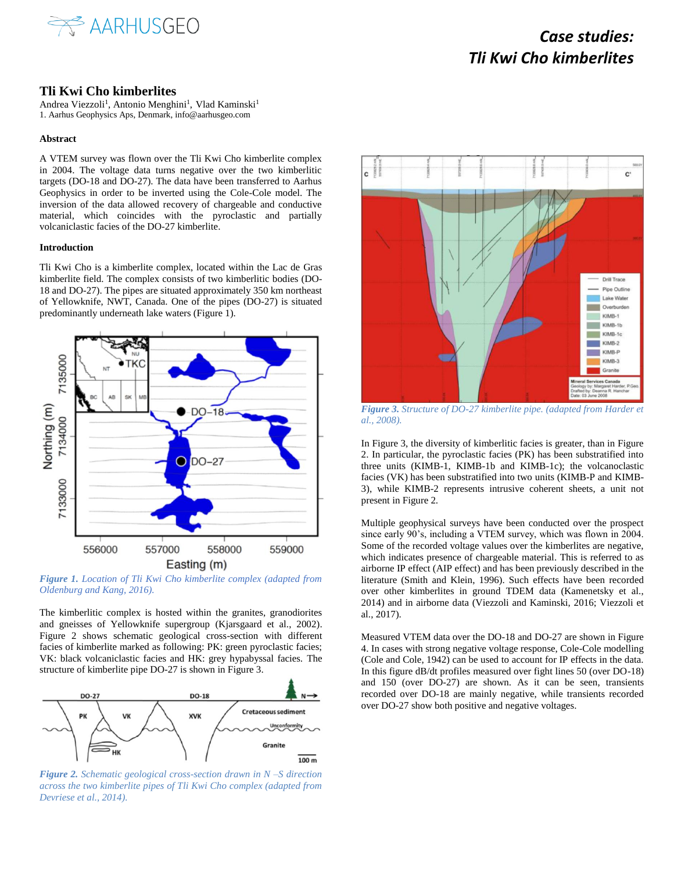

## *Case studies: Tli Kwi Cho kimberlites*

### **Tli Kwi Cho kimberlites**

Andrea Viezzoli<sup>1</sup>, Antonio Menghini<sup>1</sup>, Vlad Kaminski<sup>1</sup> 1. Aarhus Geophysics Aps, Denmark, info@aarhusgeo.com

#### **Abstract**

A VTEM survey was flown over the Tli Kwi Cho kimberlite complex in 2004. The voltage data turns negative over the two kimberlitic targets (DO-18 and DO-27). The data have been transferred to Aarhus Geophysics in order to be inverted using the Cole-Cole model. The inversion of the data allowed recovery of chargeable and conductive material, which coincides with the pyroclastic and partially volcaniclastic facies of the DO-27 kimberlite.

#### **Introduction**

Tli Kwi Cho is a kimberlite complex, located within the Lac de Gras kimberlite field. The complex consists of two kimberlitic bodies (DO-18 and DO-27). The pipes are situated approximately 350 km northeast of Yellowknife, NWT, Canada. One of the pipes (DO-27) is situated predominantly underneath lake waters (Figure 1).



*Figure 1. Location of Tli Kwi Cho kimberlite complex (adapted from Oldenburg and Kang, 2016).*

The kimberlitic complex is hosted within the granites, granodiorites and gneisses of Yellowknife supergroup (Kjarsgaard et al., 2002). Figure 2 shows schematic geological cross-section with different facies of kimberlite marked as following: PK: green pyroclastic facies; VK: black volcaniclastic facies and HK: grey hypabyssal facies. The structure of kimberlite pipe DO-27 is shown in Figure 3.



*Figure 2. Schematic geological cross-section drawn in N –S direction across the two kimberlite pipes of Tli Kwi Cho complex (adapted from Devriese et al., 2014).* 



*Figure 3. Structure of DO-27 kimberlite pipe. (adapted from Harder et al., 2008).*

In Figure 3, the diversity of kimberlitic facies is greater, than in Figure 2. In particular, the pyroclastic facies (PK) has been substratified into three units (KIMB-1, KIMB-1b and KIMB-1c); the volcanoclastic facies (VK) has been substratified into two units (KIMB-P and KIMB-3), while KIMB-2 represents intrusive coherent sheets, a unit not present in Figure 2.

Multiple geophysical surveys have been conducted over the prospect since early 90's, including a VTEM survey, which was flown in 2004. Some of the recorded voltage values over the kimberlites are negative, which indicates presence of chargeable material. This is referred to as airborne IP effect (AIP effect) and has been previously described in the literature (Smith and Klein, 1996). Such effects have been recorded over other kimberlites in ground TDEM data (Kamenetsky et al., 2014) and in airborne data (Viezzoli and Kaminski, 2016; Viezzoli et al., 2017).

Measured VTEM data over the DO-18 and DO-27 are shown in Figure 4. In cases with strong negative voltage response, Cole-Cole modelling (Cole and Cole, 1942) can be used to account for IP effects in the data. In this figure dB/dt profiles measured over fight lines 50 (over DO-18) and 150 (over DO-27) are shown. As it can be seen, transients recorded over DO-18 are mainly negative, while transients recorded over DO-27 show both positive and negative voltages.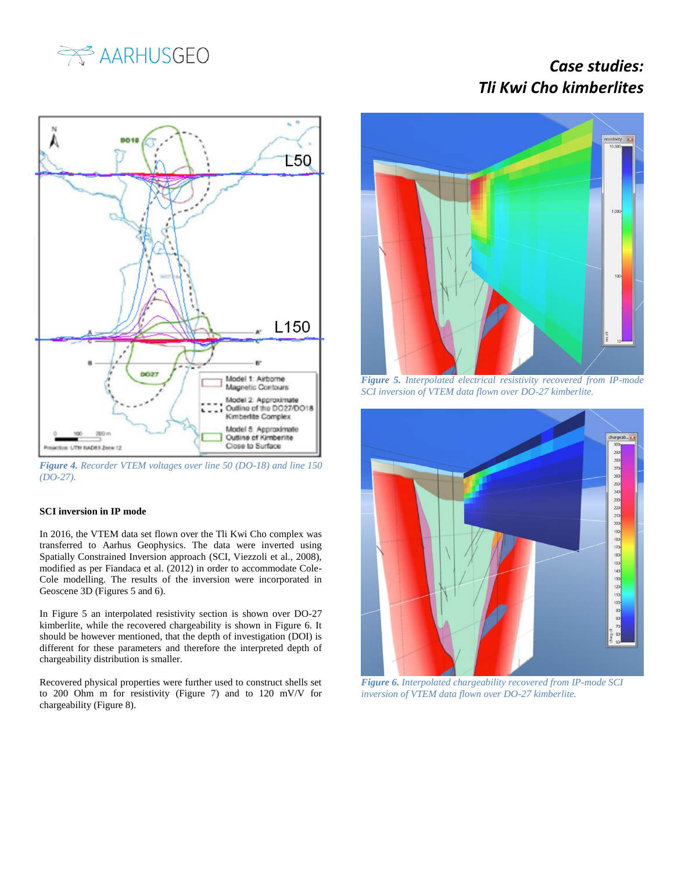

# *Case studies: Tli Kwi Cho kimberlites*



*Figure 4. Recorder VTEM voltages over line 50 (DO-18) and line 150 (DO-27).*

### **SCI inversion in IP mode**

In 2016, the VTEM data set flown over the Tli Kwi Cho complex was transferred to Aarhus Geophysics. The data were inverted using Spatially Constrained Inversion approach (SCI, Viezzoli et al., 2008), modified as per Fiandaca et al. (2012) in order to accommodate Cole-Cole modelling. The results of the inversion were incorporated in Geoscene 3D (Figures 5 and 6).

In Figure 5 an interpolated resistivity section is shown over DO-27 kimberlite, while the recovered chargeability is shown in Figure 6. It should be however mentioned, that the depth of investigation (DOI) is different for these parameters and therefore the interpreted depth of chargeability distribution is smaller.

Recovered physical properties were further used to construct shells set to 200 Ohm m for resistivity (Figure 7) and to 120 mV/V for chargeability (Figure 8).



*Figure 5. Interpolated electrical resistivity recovered from IP-mode SCI inversion of VTEM data flown over DO-27 kimberlite.*



*Figure 6. Interpolated chargeability recovered from IP-mode SCI inversion of VTEM data flown over DO-27 kimberlite.*